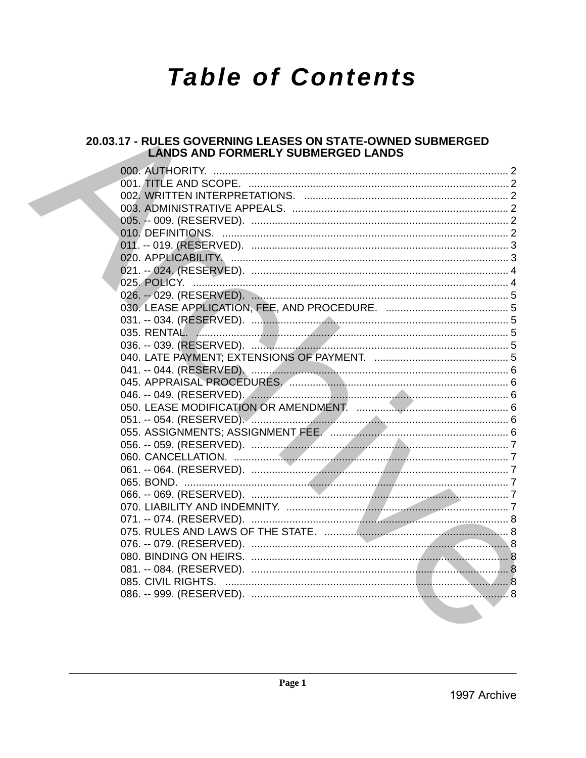# **Table of Contents**

## 20.03.17 - RULES GOVERNING LEASES ON STATE-OWNED SUBMERGED **LANDS AND FORMERLY SUBMERGED LANDS**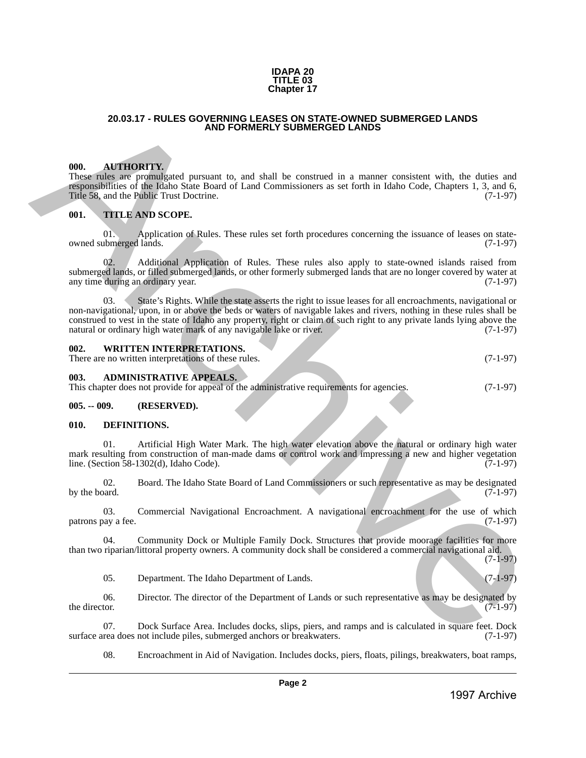#### **IDAPA 20 TITLE 03 Chapter 17**

#### **20.03.17 - RULES GOVERNING LEASES ON STATE-OWNED SUBMERGED LANDS AND FORMERLY SUBMERGED LANDS**

#### <span id="page-1-1"></span>**000. AUTHORITY.**

These rules are promulgated pursuant to, and shall be construed in a manner consistent with, the duties and responsibilities of the Idaho State Board of Land Commissioners as set forth in Idaho Code, Chapters 1, 3, and 6, Title 58, and the Public Trust Doctrine. (7-1-97)

#### <span id="page-1-2"></span>**001. TITLE AND SCOPE.**

01. Application of Rules. These rules set forth procedures concerning the issuance of leases on state-<br>ubmerged lands. (7-1-97) owned submerged lands.

Additional Application of Rules. These rules also apply to state-owned islands raised from submerged lands, or filled submerged lands, or other formerly submerged lands that are no longer covered by water at any time during an ordinary year. (7-1-97) any time during an ordinary year.

<span id="page-1-0"></span>03. State's Rights. While the state asserts the right to issue leases for all encroachments, navigational or non-navigational, upon, in or above the beds or waters of navigable lakes and rivers, nothing in these rules shall be construed to vest in the state of Idaho any property, right or claim of such right to any private lands lying above the natural or ordinary high water mark of any navigable lake or river. (7-1-97) **20.33.17 - RULES ADVERIMENTALES COMPETENTS ON EXPRESS ON STREET ONE CONFERENCE DESIRET (ALSO SURVEYS COMPETER<br>
1997 ARCHIVETTY AND RESULTE UNIT OF THE COMPETER SURVEY OF THE CONFERENCE ORDER (ALSO COMPETER) THE CONFERENC** 

#### <span id="page-1-3"></span>**002. WRITTEN INTERPRETATIONS.**

There are no written interpretations of these rules. (7-1-97)

<span id="page-1-4"></span>**003. ADMINISTRATIVE APPEALS.**

This chapter does not provide for appeal of the administrative requirements for agencies. (7-1-97)

#### <span id="page-1-5"></span>**005. -- 009. (RESERVED).**

#### <span id="page-1-6"></span>**010. DEFINITIONS.**

01. Artificial High Water Mark. The high water elevation above the natural or ordinary high water mark resulting from construction of man-made dams or control work and impressing a new and higher vegetation line. (Section 58-1302(d), Idaho Code). (7-1-97) line. (Section  $58-1302(d)$ , Idaho Code).

02. Board. The Idaho State Board of Land Commissioners or such representative as may be designated<br>(7-1-97) by the board.  $(7-1-97)$ 

03. Commercial Navigational Encroachment. A navigational encroachment for the use of which pay a fee. (7-1-97) patrons pay a fee.

04. Community Dock or Multiple Family Dock. Structures that provide moorage facilities for more than two riparian/littoral property owners. A community dock shall be considered a commercial navigational aid.

(7-1-97)

05. Department. The Idaho Department of Lands. (7-1-97)

06. Director. The director of the Department of Lands or such representative as may be designated by the director. (7-1-97) the director.  $(7-1-97)$ 

07. Dock Surface Area. Includes docks, slips, piers, and ramps and is calculated in square feet. Dock rea does not include piles, submerged anchors or breakwaters. (7-1-97) surface area does not include piles, submerged anchors or breakwaters.

08. Encroachment in Aid of Navigation. Includes docks, piers, floats, pilings, breakwaters, boat ramps,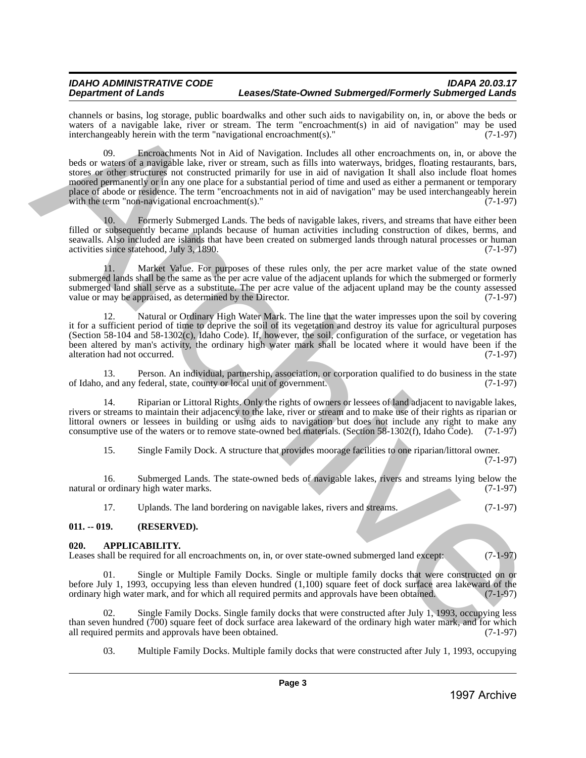#### *IDAHO ADMINISTRATIVE CODE IDAPA 20.03.17 Department of Lands Leases/State-Owned Submerged/Formerly Submerged Lands*

channels or basins, log storage, public boardwalks and other such aids to navigability on, in, or above the beds or waters of a navigable lake, river or stream. The term "encroachment(s) in aid of navigation" may be used interchangeably herein with the term "navigational encroachment(s)." (7-1-97) interchangeably herein with the term "navigational encroachment(s)."

09. Encroachments Not in Aid of Navigation. Includes all other encroachments on, in, or above the beds or waters of a navigable lake, river or stream, such as fills into waterways, bridges, floating restaurants, bars, stores or other structures not constructed primarily for use in aid of navigation It shall also include float homes moored permanently or in any one place for a substantial period of time and used as either a permanent or temporary place of abode or residence. The term "encroachments not in aid of navigation" may be used interchangeably herein with the term "non-navigational encroachment(s)." (7-1-97) thance) in basis, i.e. statistically their basis entirely interesting the control of the matrix in the control of the statistical methods in the control of the statistical methods in the control of the statistical methods

10. Formerly Submerged Lands. The beds of navigable lakes, rivers, and streams that have either been filled or subsequently became uplands because of human activities including construction of dikes, berms, and seawalls. Also included are islands that have been created on submerged lands through natural processes or human activities since statehood, July 3, 1890. (7-1-97)

11. Market Value. For purposes of these rules only, the per acre market value of the state owned submerged lands shall be the same as the per acre value of the adjacent uplands for which the submerged or formerly submerged land shall serve as a substitute. The per acre value of the adjacent upland may be the county assessed value or may be appraised, as determined by the Director. (7-1-97)

12. Natural or Ordinary High Water Mark. The line that the water impresses upon the soil by covering it for a sufficient period of time to deprive the soil of its vegetation and destroy its value for agricultural purposes (Section 58-104 and 58-1302(c), Idaho Code). If, however, the soil, configuration of the surface, or vegetation has been altered by man's activity, the ordinary high water mark shall be located where it would have been if the alteration had not occurred. (7-1-97) alteration had not occurred.

13. Person. An individual, partnership, association, or corporation qualified to do business in the state and any federal, state, county or local unit of government. (7-1-97) of Idaho, and any federal, state, county or local unit of government.

14. Riparian or Littoral Rights. Only the rights of owners or lessees of land adjacent to navigable lakes, rivers or streams to maintain their adjacency to the lake, river or stream and to make use of their rights as riparian or littoral owners or lessees in building or using aids to navigation but does not include any right to make any consumptive use of the waters or to remove state-owned bed materials. (Section 58-1302(f), Idaho Code). (7-1-97)

15. Single Family Dock. A structure that provides moorage facilities to one riparian/littoral owner. (7-1-97)

16. Submerged Lands. The state-owned beds of navigable lakes, rivers and streams lying below the r ordinary high water marks. (7-1-97) natural or ordinary high water marks.

17. Uplands. The land bordering on navigable lakes, rivers and streams. (7-1-97)

## <span id="page-2-0"></span>**011. -- 019. (RESERVED).**

#### <span id="page-2-1"></span>**020. APPLICABILITY.**

Leases shall be required for all encroachments on, in, or over state-owned submerged land except: (7-1-97)

01. Single or Multiple Family Docks. Single or multiple family docks that were constructed on or before July 1, 1993, occupying less than eleven hundred  $(1,100)$  square feet of dock surface area lakeward of the ordinary high water mark, and for which all required permits and approvals have been obtained.  $(7-1-97)$ ordinary high water mark, and for which all required permits and approvals have been obtained.

02. Single Family Docks. Single family docks that were constructed after July 1, 1993, occupying less than seven hundred (700) square feet of dock surface area lakeward of the ordinary high water mark, and for which all required permits and approvals have been obtained.  $(7-1-97)$ all required permits and approvals have been obtained.

03. Multiple Family Docks. Multiple family docks that were constructed after July 1, 1993, occupying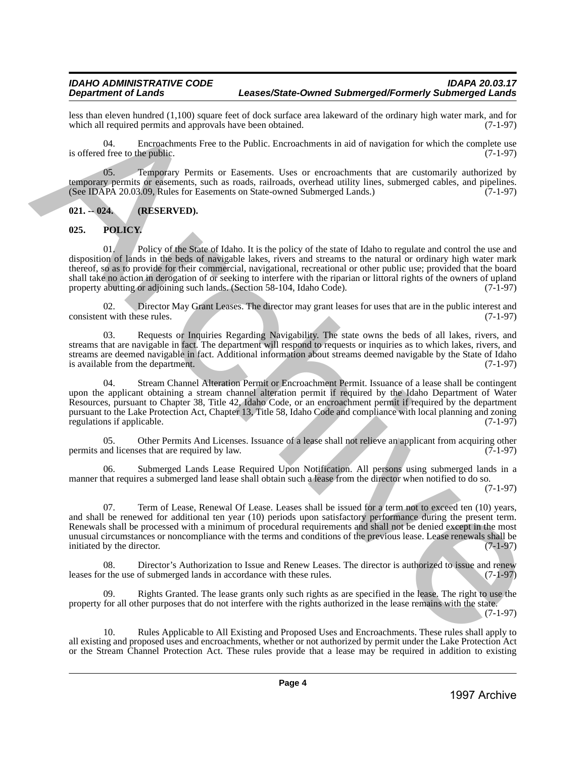less than eleven hundred (1,100) square feet of dock surface area lakeward of the ordinary high water mark, and for which all required permits and approvals have been obtained. (7-1-97) which all required permits and approvals have been obtained.

04. Encroachments Free to the Public. Encroachments in aid of navigation for which the complete use is offered free to the public.  $(7-1-97)$ 

05. Temporary Permits or Easements. Uses or encroachments that are customarily authorized by temporary permits or easements, such as roads, railroads, overhead utility lines, submerged cables, and pipelines.<br>(See IDAPA 20.03.09, Rules for Easements on State-owned Submerged Lands.) (7-1-97) (See IDAPA 20.03.09, Rules for Easements on State-owned Submerged Lands.)

## <span id="page-3-0"></span>**021. -- 024. (RESERVED).**

## <span id="page-3-1"></span>**025. POLICY.**

01. Policy of the State of Idaho. It is the policy of the state of Idaho to regulate and control the use and disposition of lands in the beds of navigable lakes, rivers and streams to the natural or ordinary high water mark thereof, so as to provide for their commercial, navigational, recreational or other public use; provided that the board shall take no action in derogation of or seeking to interfere with the riparian or littoral rights of the owners of upland property abutting or adjoining such lands. (Section 58-104, Idaho Code). (7-1-97)

02. Director May Grant Leases. The director may grant leases for uses that are in the public interest and the with these rules. (7-1-97) consistent with these rules.

03. Requests or Inquiries Regarding Navigability. The state owns the beds of all lakes, rivers, and streams that are navigable in fact. The department will respond to requests or inquiries as to which lakes, rivers, and streams are deemed navigable in fact. Additional information about streams deemed navigable by the State of Idaho<br>(7-1-97) is available from the department.

Stream Channel Alteration Permit or Encroachment Permit. Issuance of a lease shall be contingent upon the applicant obtaining a stream channel alteration permit if required by the Idaho Department of Water Resources, pursuant to Chapter 38, Title 42, Idaho Code, or an encroachment permit if required by the department pursuant to the Lake Protection Act, Chapter 13, Title 58, Idaho Code and compliance with local planning and zoning regulations if applicable. be so that conclusions of the DVM shape also be a subsequent interesting to the state of the objective Archives Archives Archives Archives Archives Archives Archives Archives Archives Archives Archives Archives Archives A

05. Other Permits And Licenses. Issuance of a lease shall not relieve an applicant from acquiring other und licenses that are required by law. (7-1-97) permits and licenses that are required by law.

06. Submerged Lands Lease Required Upon Notification. All persons using submerged lands in a manner that requires a submerged land lease shall obtain such a lease from the director when notified to do so. (7-1-97)

07. Term of Lease, Renewal Of Lease. Leases shall be issued for a term not to exceed ten (10) years, and shall be renewed for additional ten year (10) periods upon satisfactory performance during the present term. Renewals shall be processed with a minimum of procedural requirements and shall not be denied except in the most unusual circumstances or noncompliance with the terms and conditions of the previous lease. Lease renewals shall be initiated by the director. (7-1-97) initiated by the director.

Director's Authorization to Issue and Renew Leases. The director is authorized to issue and renew leases for the use of submerged lands in accordance with these rules. (7-1-97)

09. Rights Granted. The lease grants only such rights as are specified in the lease. The right to use the property for all other purposes that do not interfere with the rights authorized in the lease remains with the state. (7-1-97)

10. Rules Applicable to All Existing and Proposed Uses and Encroachments. These rules shall apply to all existing and proposed uses and encroachments, whether or not authorized by permit under the Lake Protection Act or the Stream Channel Protection Act. These rules provide that a lease may be required in addition to existing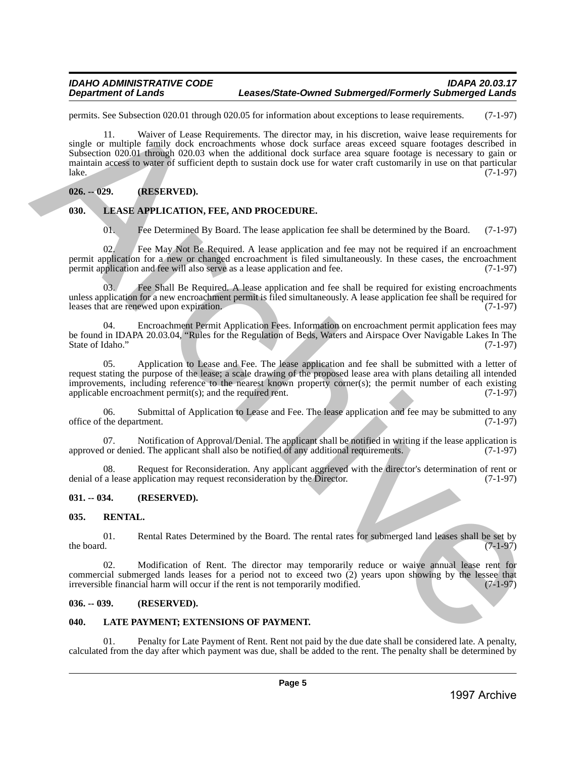#### *IDAHO ADMINISTRATIVE CODE IDAPA 20.03.17 Department of Lands Leases/State-Owned Submerged/Formerly Submerged Lands*

permits. See Subsection 020.01 through 020.05 for information about exceptions to lease requirements. (7-1-97)

11. Waiver of Lease Requirements. The director may, in his discretion, waive lease requirements for single or multiple family dock encroachments whose dock surface areas exceed square footages described in Subsection 020.01 through 020.03 when the additional dock surface area square footage is necessary to gain or maintain access to water of sufficient depth to sustain dock use for water craft customarily in use on that particular lake.  $\ell$  lake.  $(7-1-97)$ pearals. Solely a state of the specifical state and the state and the state is the specifical state of the specifical state  $(7-197)$ <br>
State of normal control of the state of the state of the state of the state of the sta

## <span id="page-4-0"></span>**026. -- 029. (RESERVED).**

## <span id="page-4-1"></span>**030. LEASE APPLICATION, FEE, AND PROCEDURE.**

01. Fee Determined By Board. The lease application fee shall be determined by the Board. (7-1-97)

02. Fee May Not Be Required. A lease application and fee may not be required if an encroachment permit application for a new or changed encroachment is filed simultaneously. In these cases, the encroachment permit application and fee will also serve as a lease application and fee. (7-1-97) permit application and fee will also serve as a lease application and fee.

03. Fee Shall Be Required. A lease application and fee shall be required for existing encroachments unless application for a new encroachment permit is filed simultaneously. A lease application fee shall be required for<br>(7-1-97) leases that are renewed upon expiration.

04. Encroachment Permit Application Fees. Information on encroachment permit application fees may be found in IDAPA 20.03.04, "Rules for the Regulation of Beds, Waters and Airspace Over Navigable Lakes In The State of Idaho."

05. Application to Lease and Fee. The lease application and fee shall be submitted with a letter of request stating the purpose of the lease; a scale drawing of the proposed lease area with plans detailing all intended improvements, including reference to the nearest known property corner(s); the permit number of each existing applicable encroachment permit(s); and the required rent. (7-1-97) applicable encroachment permit $(s)$ ; and the required rent.

06. Submittal of Application to Lease and Fee. The lease application and fee may be submitted to any the department. (7-1-97) office of the department.

07. Notification of Approval/Denial. The applicant shall be notified in writing if the lease application is 1 or denied. The applicant shall also be notified of any additional requirements. (7-1-97) approved or denied. The applicant shall also be notified of any additional requirements.

08. Request for Reconsideration. Any applicant aggrieved with the director's determination of rent or denial of a lease application may request reconsideration by the Director. (7-1-97)

## <span id="page-4-2"></span>**031. -- 034. (RESERVED).**

## <span id="page-4-3"></span>**035. RENTAL.**

01. Rental Rates Determined by the Board. The rental rates for submerged land leases shall be set by the board. (7-1-97) the board.  $(7-1-97)$ 

Modification of Rent. The director may temporarily reduce or waive annual lease rent for commercial submerged lands leases for a period not to exceed two  $(2)$  years upon showing by the lessee that irreversible financial harm will occur if the rent is not temporarily modified.  $(7-1-97)$ irreversible financial harm will occur if the rent is not temporarily modified.

#### <span id="page-4-4"></span>**036. -- 039. (RESERVED).**

## <span id="page-4-5"></span>**040. LATE PAYMENT; EXTENSIONS OF PAYMENT.**

Penalty for Late Payment of Rent. Rent not paid by the due date shall be considered late. A penalty, calculated from the day after which payment was due, shall be added to the rent. The penalty shall be determined by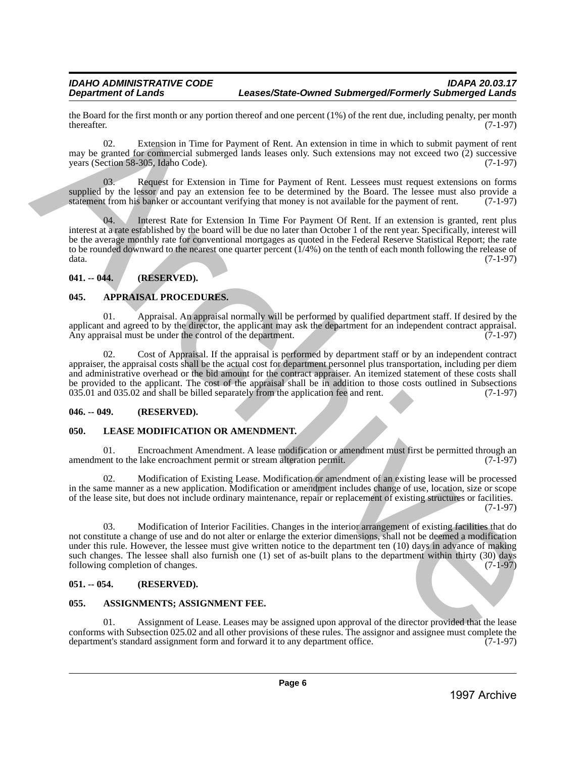the Board for the first month or any portion thereof and one percent (1%) of the rent due, including penalty, per month thereafter. (7-1-97) thereafter.  $(7-1-97)$ 

Extension in Time for Payment of Rent. An extension in time in which to submit payment of rent may be granted for commercial submerged lands leases only. Such extensions may not exceed two (2) successive years (Section 58-305, Idaho Code). (7-1-97) years (Section 58-305, Idaho Code).

Request for Extension in Time for Payment of Rent. Lessees must request extensions on forms supplied by the lessor and pay an extension fee to be determined by the Board. The lessee must also provide a statement from his banker or accountant verifying that money is not available for the payment of rent. (7-1-97)

04. Interest Rate for Extension In Time For Payment Of Rent. If an extension is granted, rent plus interest at a rate established by the board will be due no later than October 1 of the rent year. Specifically, interest will be the average monthly rate for conventional mortgages as quoted in the Federal Reserve Statistical Report; the rate to be rounded downward to the nearest one quarter percent (1/4%) on the tenth of each month following the release of data. (7-1-97) Be showed the thermatical control and spectral of the system distribution of the system distribution (15) of the system distribution (16) and the system of four and the system of the system of the system of the system of

## <span id="page-5-0"></span>**041. -- 044. (RESERVED).**

## <span id="page-5-1"></span>**045. APPRAISAL PROCEDURES.**

01. Appraisal. An appraisal normally will be performed by qualified department staff. If desired by the applicant and agreed to by the director, the applicant may ask the department for an independent contract appraisal.<br>Any appraisal must be under the control of the department. (7-1-97) Any appraisal must be under the control of the department.

02. Cost of Appraisal. If the appraisal is performed by department staff or by an independent contract appraiser, the appraisal costs shall be the actual cost for department personnel plus transportation, including per diem and administrative overhead or the bid amount for the contract appraiser. An itemized statement of these costs shall be provided to the applicant. The cost of the appraisal shall be in addition to those costs outlined in Subsections 035.01 and 035.02 and shall be billed separately from the application fee and rent. (7-1-97)

#### <span id="page-5-2"></span>**046. -- 049. (RESERVED).**

## <span id="page-5-3"></span>**050. LEASE MODIFICATION OR AMENDMENT.**

01. Encroachment Amendment. A lease modification or amendment must first be permitted through an ent to the lake encroachment permit or stream alteration permit. (7-1-97) amendment to the lake encroachment permit or stream alteration permit.

02. Modification of Existing Lease. Modification or amendment of an existing lease will be processed in the same manner as a new application. Modification or amendment includes change of use, location, size or scope of the lease site, but does not include ordinary maintenance, repair or replacement of existing structures or facilities. (7-1-97)

03. Modification of Interior Facilities. Changes in the interior arrangement of existing facilities that do not constitute a change of use and do not alter or enlarge the exterior dimensions, shall not be deemed a modification under this rule. However, the lessee must give written notice to the department ten (10) days in advance of making such changes. The lessee shall also furnish one (1) set of as-built plans to the department within thirty (30) days following completion of changes. (7-1-97)

## <span id="page-5-4"></span>**051. -- 054. (RESERVED).**

## <span id="page-5-5"></span>**055. ASSIGNMENTS; ASSIGNMENT FEE.**

01. Assignment of Lease. Leases may be assigned upon approval of the director provided that the lease conforms with Subsection 025.02 and all other provisions of these rules. The assignor and assignee must complete the department's standard assignment form and forward it to any department office. (7-1-97) department's standard assignment form and forward it to any department office.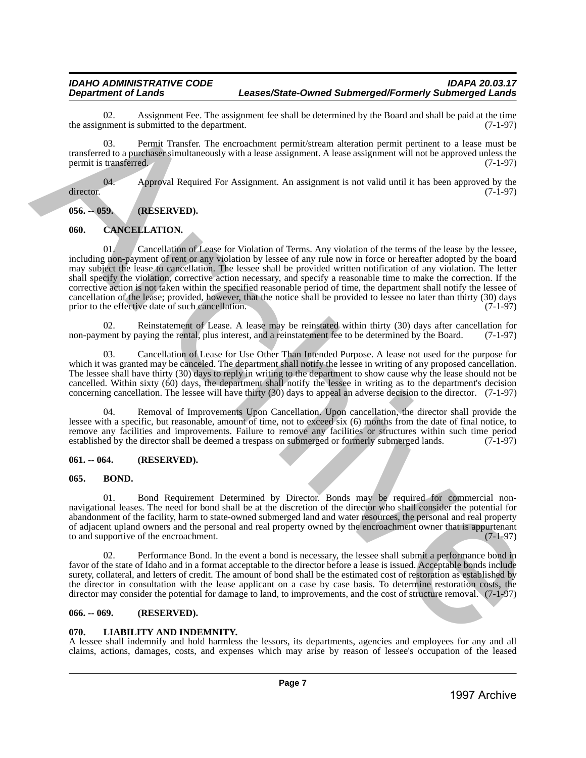#### *IDAHO ADMINISTRATIVE CODE IDAPA 20.03.17 Department of Lands Leases/State-Owned Submerged/Formerly Submerged Lands*

02. Assignment Fee. The assignment fee shall be determined by the Board and shall be paid at the time nment is submitted to the department. the assignment is submitted to the department.

03. Permit Transfer. The encroachment permit/stream alteration permit pertinent to a lease must be transferred to a purchaser simultaneously with a lease assignment. A lease assignment will not be approved unless the permit is transferred. (7-1-97)

04. Approval Required For Assignment. An assignment is not valid until it has been approved by the (7-1-97) director. (7-1-97)

<span id="page-6-0"></span>**056. -- 059. (RESERVED).**

## <span id="page-6-1"></span>**060. CANCELLATION.**

01. Cancellation of Lease for Violation of Terms. Any violation of the terms of the lease by the lessee, including non-payment of rent or any violation by lessee of any rule now in force or hereafter adopted by the board may subject the lease to cancellation. The lessee shall be provided written notification of any violation. The letter shall specify the violation, corrective action necessary, and specify a reasonable time to make the correction. If the corrective action is not taken within the specified reasonable period of time, the department shall notify the lessee of cancellation of the lease; provided, however, that the notice shall be provided to lessee no later than thirty (30) days prior to the effective date of such cancellation. (7-1-97) 10. associates the main and the theoretical techniques in the standard by the fourth of the main and the main and the main and the main and the main and the main and the main and the main and the main and the main and the

02. Reinstatement of Lease. A lease may be reinstated within thirty (30) days after cancellation for nent by paying the rental, plus interest, and a reinstatement fee to be determined by the Board. (7-1-97) non-payment by paying the rental, plus interest, and a reinstatement fee to be determined by the Board.

03. Cancellation of Lease for Use Other Than Intended Purpose. A lease not used for the purpose for which it was granted may be canceled. The department shall notify the lessee in writing of any proposed cancellation. The lessee shall have thirty (30) days to reply in writing to the department to show cause why the lease should not be cancelled. Within sixty (60) days, the department shall notify the lessee in writing as to the department's decision concerning cancellation. The lessee will have thirty (30) days to appeal an adverse decision to the director. (7-1-97)

04. Removal of Improvements Upon Cancellation. Upon cancellation, the director shall provide the lessee with a specific, but reasonable, amount of time, not to exceed six (6) months from the date of final notice, to remove any facilities and improvements. Failure to remove any facilities or structures within such time period<br>established by the director shall be deemed a trespass on submerged or formerly submerged lands. (7-1-97) established by the director shall be deemed a trespass on submerged or formerly submerged lands.

## <span id="page-6-2"></span>**061. -- 064. (RESERVED).**

## <span id="page-6-3"></span>**065. BOND.**

01. Bond Requirement Determined by Director. Bonds may be required for commercial nonnavigational leases. The need for bond shall be at the discretion of the director who shall consider the potential for abandonment of the facility, harm to state-owned submerged land and water resources, the personal and real property of adjacent upland owners and the personal and real property owned by the encroachment owner that is appurtenant<br>to and supportive of the encroachment. to and supportive of the encroachment.

02. Performance Bond. In the event a bond is necessary, the lessee shall submit a performance bond in favor of the state of Idaho and in a format acceptable to the director before a lease is issued. Acceptable bonds include surety, collateral, and letters of credit. The amount of bond shall be the estimated cost of restoration as established by the director in consultation with the lease applicant on a case by case basis. To determine restoration costs, the director may consider the potential for damage to land, to improvements, and the cost of structure removal. (7-1-97)

## <span id="page-6-4"></span>**066. -- 069. (RESERVED).**

## <span id="page-6-5"></span>**070. LIABILITY AND INDEMNITY.**

A lessee shall indemnify and hold harmless the lessors, its departments, agencies and employees for any and all claims, actions, damages, costs, and expenses which may arise by reason of lessee's occupation of the leased